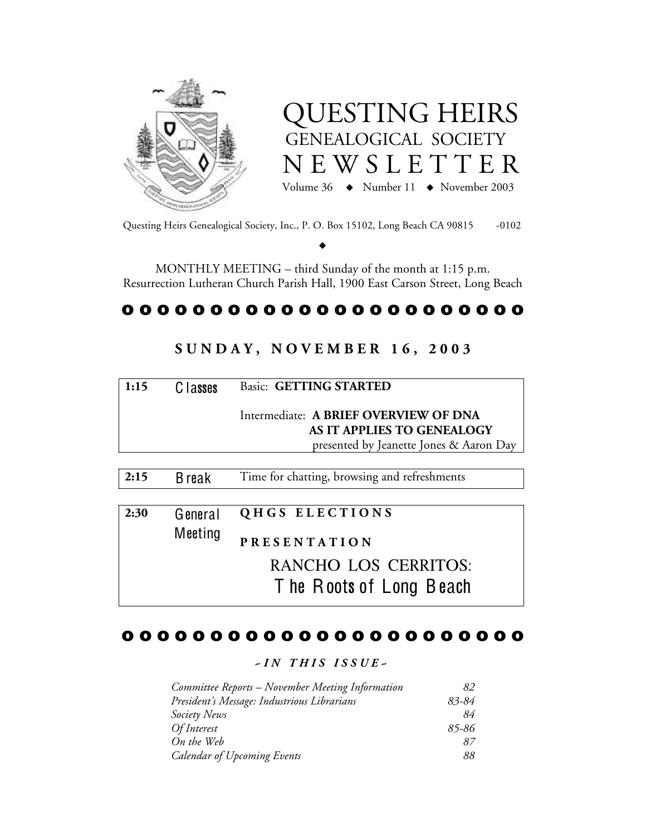



Questing Heirs Genealogical Society, Inc., P. O. Box 15102, Long Beach CA 90815 -0102

 $\blacklozenge$ 

MONTHLY MEETING – third Sunday of the month at 1:15 p.m. Resurrection Lutheran Church Parish Hall, 1900 East Carson Street, Long Beach

# o o o o o o o o o o o o o o o o o o o o o o o

# **S U N D A Y , N O V E M B E R 1 6 , 2 0 0 3**

| 1:15 | C lasses | <b>Basic: GETTING STARTED</b>                                       |  |
|------|----------|---------------------------------------------------------------------|--|
|      |          | Intermediate: A BRIEF OVERVIEW OF DNA<br>AS IT APPLIES TO GENEALOGY |  |
|      |          | presented by Jeanette Jones & Aaron Day                             |  |

| 2:30 | General | QHGS ELECTIONS          |
|------|---------|-------------------------|
|      | Meeting | <b>PRESENTATION</b>     |
|      |         | RANCHO LOS CERRITOS:    |
|      |         | The Roots of Long Beach |

2:15 B reak Time for chatting, browsing and refreshments

# o o o o o o o o o o o o o o o o o o o o o o o

## *~ I N T H I S I S S U E ~*

| Committee Reports – November Meeting Information | 82    |
|--------------------------------------------------|-------|
| President's Message: Industrious Librarians      | 83-84 |
| Society News                                     | 84    |
| <i>Of Interest</i>                               | 85-86 |
| On the Web                                       | 87.   |
| <b>Calendar of Upcoming Events</b>               | 88    |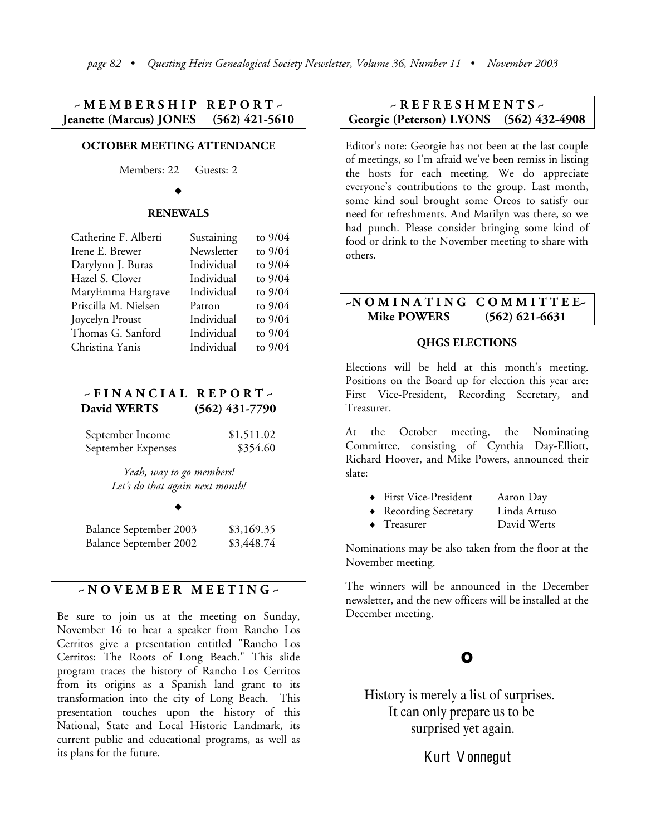### **~ M E M B E R S H I P R E P O R T ~ Jeanette (Marcus) JONES (562) 421-5610**

### **OCTOBER MEETING ATTENDANCE**

Members: 22 Guests: 2

#### $\blacklozenge$

#### **RENEWALS**

| Sustaining | to $9/04$ |
|------------|-----------|
| Newsletter | to $9/04$ |
| Individual | to $9/04$ |
| Individual | to $9/04$ |
| Individual | to $9/04$ |
| Patron     | to $9/04$ |
| Individual | to $9/04$ |
| Individual | to $9/04$ |
| Individual | to $9/04$ |
|            |           |

# **~ F I N A N C I A L R E P O R T ~ David WERTS (562) 431-7790**

| September Income   | \$1,511.02 |
|--------------------|------------|
| September Expenses | \$354.60   |

*Yeah, way to go members! Let's do that again next month!*

#### $\blacklozenge$

| Balance September 2003        | \$3,169.35 |
|-------------------------------|------------|
| <b>Balance September 2002</b> | \$3,448.74 |

### **~ N O V E M B E R M E E T I N G ~**

Be sure to join us at the meeting on Sunday, November 16 to hear a speaker from Rancho Los Cerritos give a presentation entitled "Rancho Los Cerritos: The Roots of Long Beach." This slide program traces the history of Rancho Los Cerritos from its origins as a Spanish land grant to its transformation into the city of Long Beach. This presentation touches upon the history of this National, State and Local Historic Landmark, its current public and educational programs, as well as its plans for the future.

### **~ R E F R E S H M E N T S ~ Georgie (Peterson) LYONS (562) 432-4908**

Editor's note: Georgie has not been at the last couple of meetings, so I'm afraid we've been remiss in listing the hosts for each meeting. We do appreciate everyone's contributions to the group. Last month, some kind soul brought some Oreos to satisfy our need for refreshments. And Marilyn was there, so we had punch. Please consider bringing some kind of food or drink to the November meeting to share with others.

### **~N O M I N A T I N G C O M M I T T E E~ Mike POWERS (562) 621-6631**

#### **QHGS ELECTIONS**

Elections will be held at this month's meeting. Positions on the Board up for election this year are: First Vice-President, Recording Secretary, and Treasurer.

At the October meeting, the Nominating Committee, consisting of Cynthia Day-Elliott, Richard Hoover, and Mike Powers, announced their slate:

- ♦ First Vice-President Aaron Day
- ♦ Recording Secretary Linda Artuso
- ♦ Treasurer David Werts

Nominations may be also taken from the floor at the November meeting.

The winners will be announced in the December newsletter, and the new officers will be installed at the December meeting.

# O

History is merely a list of surprises. It can only prepare us to be surprised yet again.

Kurt V onnegut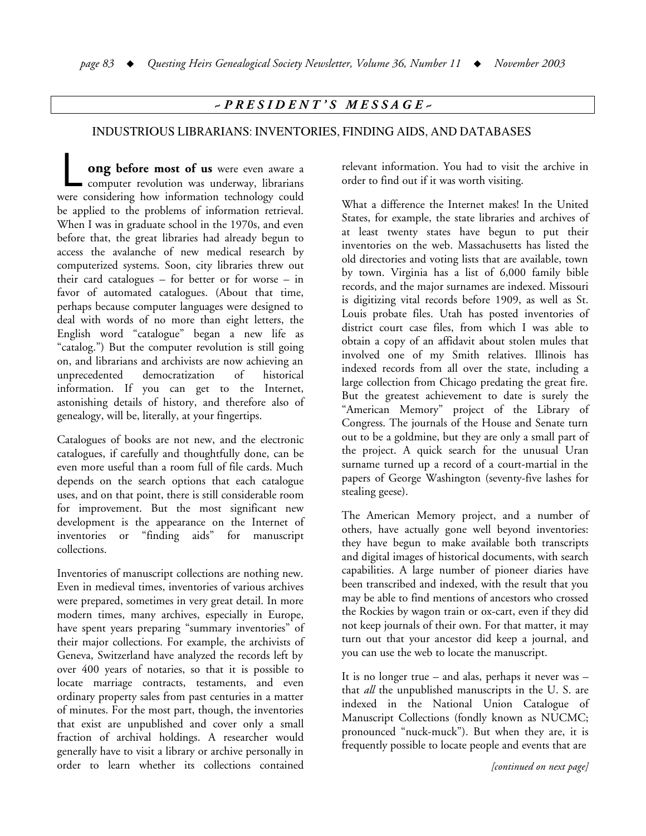# *~ P R E S I D E N T ' S M E S S A G E ~*

## INDUSTRIOUS LIBRARIANS: INVENTORIES, FINDING AIDS, AND DATABASES

**ong before most of us** were even aware a ong before most of us were even aware a computer revolution was underway, librarians were considering how information technology could be applied to the problems of information retrieval. When I was in graduate school in the 1970s, and even before that, the great libraries had already begun to access the avalanche of new medical research by computerized systems. Soon, city libraries threw out their card catalogues – for better or for worse – in favor of automated catalogues. (About that time, perhaps because computer languages were designed to deal with words of no more than eight letters, the English word "catalogue" began a new life as "catalog.") But the computer revolution is still going on, and librarians and archivists are now achieving an unprecedented democratization of historical information. If you can get to the Internet, astonishing details of history, and therefore also of genealogy, will be, literally, at your fingertips.

Catalogues of books are not new, and the electronic catalogues, if carefully and thoughtfully done, can be even more useful than a room full of file cards. Much depends on the search options that each catalogue uses, and on that point, there is still considerable room for improvement. But the most significant new development is the appearance on the Internet of inventories or "finding aids" for manuscript collections.

Inventories of manuscript collections are nothing new. Even in medieval times, inventories of various archives were prepared, sometimes in very great detail. In more modern times, many archives, especially in Europe, have spent years preparing "summary inventories" of their major collections. For example, the archivists of Geneva, Switzerland have analyzed the records left by over 400 years of notaries, so that it is possible to locate marriage contracts, testaments, and even ordinary property sales from past centuries in a matter of minutes. For the most part, though, the inventories that exist are unpublished and cover only a small fraction of archival holdings. A researcher would generally have to visit a library or archive personally in order to learn whether its collections contained

relevant information. You had to visit the archive in order to find out if it was worth visiting.

What a difference the Internet makes! In the United States, for example, the state libraries and archives of at least twenty states have begun to put their inventories on the web. Massachusetts has listed the old directories and voting lists that are available, town by town. Virginia has a list of 6,000 family bible records, and the major surnames are indexed. Missouri is digitizing vital records before 1909, as well as St. Louis probate files. Utah has posted inventories of district court case files, from which I was able to obtain a copy of an affidavit about stolen mules that involved one of my Smith relatives. Illinois has indexed records from all over the state, including a large collection from Chicago predating the great fire. But the greatest achievement to date is surely the "American Memory" project of the Library of Congress. The journals of the House and Senate turn out to be a goldmine, but they are only a small part of the project. A quick search for the unusual Uran surname turned up a record of a court-martial in the papers of George Washington (seventy-five lashes for stealing geese).

The American Memory project, and a number of others, have actually gone well beyond inventories: they have begun to make available both transcripts and digital images of historical documents, with search capabilities. A large number of pioneer diaries have been transcribed and indexed, with the result that you may be able to find mentions of ancestors who crossed the Rockies by wagon train or ox-cart, even if they did not keep journals of their own. For that matter, it may turn out that your ancestor did keep a journal, and you can use the web to locate the manuscript.

It is no longer true – and alas, perhaps it never was – that *all* the unpublished manuscripts in the U. S. are indexed in the National Union Catalogue of Manuscript Collections (fondly known as NUCMC; pronounced "nuck-muck"). But when they are, it is frequently possible to locate people and events that are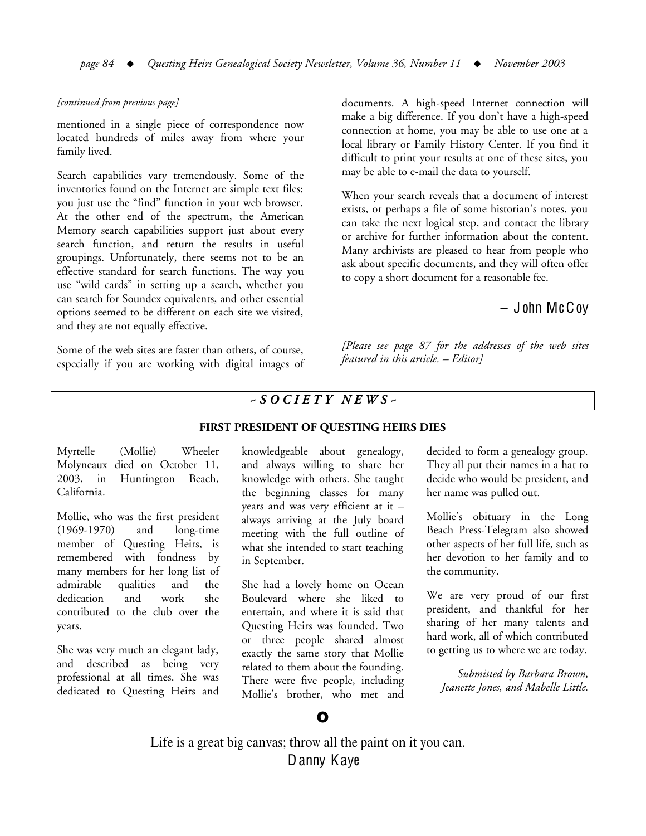#### *[continued from previous page]*

mentioned in a single piece of correspondence now located hundreds of miles away from where your family lived.

Search capabilities vary tremendously. Some of the inventories found on the Internet are simple text files; you just use the "find" function in your web browser. At the other end of the spectrum, the American Memory search capabilities support just about every search function, and return the results in useful groupings. Unfortunately, there seems not to be an effective standard for search functions. The way you use "wild cards" in setting up a search, whether you can search for Soundex equivalents, and other essential options seemed to be different on each site we visited, and they are not equally effective.

Some of the web sites are faster than others, of course, especially if you are working with digital images of documents. A high-speed Internet connection will make a big difference. If you don't have a high-speed connection at home, you may be able to use one at a local library or Family History Center. If you find it difficult to print your results at one of these sites, you may be able to e-mail the data to yourself.

When your search reveals that a document of interest exists, or perhaps a file of some historian's notes, you can take the next logical step, and contact the library or archive for further information about the content. Many archivists are pleased to hear from people who ask about specific documents, and they will often offer to copy a short document for a reasonable fee.

# $-$  John McCoy

*[Please see page 87 for the addresses of the web sites featured in this article. – Editor]*

## *~ S O C I E T Y N E W S ~*

#### **FIRST PRESIDENT OF QUESTING HEIRS DIES**

Myrtelle (Mollie) Wheeler Molyneaux died on October 11, 2003, in Huntington Beach, California.

Mollie, who was the first president (1969-1970) and long-time member of Questing Heirs, is remembered with fondness by many members for her long list of admirable qualities and the dedication and work she contributed to the club over the years.

She was very much an elegant lady, and described as being very professional at all times. She was dedicated to Questing Heirs and knowledgeable about genealogy, and always willing to share her knowledge with others. She taught the beginning classes for many years and was very efficient at it – always arriving at the July board meeting with the full outline of what she intended to start teaching in September.

She had a lovely home on Ocean Boulevard where she liked to entertain, and where it is said that Questing Heirs was founded. Two or three people shared almost exactly the same story that Mollie related to them about the founding. There were five people, including Mollie's brother, who met and

decided to form a genealogy group. They all put their names in a hat to decide who would be president, and her name was pulled out.

Mollie's obituary in the Long Beach Press-Telegram also showed other aspects of her full life, such as her devotion to her family and to the community.

We are very proud of our first president, and thankful for her sharing of her many talents and hard work, all of which contributed to getting us to where we are today.

*Submitted by Barbara Brown, Jeanette Jones, and Mabelle Little.*

# O

Life is a great big canvas; throw all the paint on it you can. Danny Kaye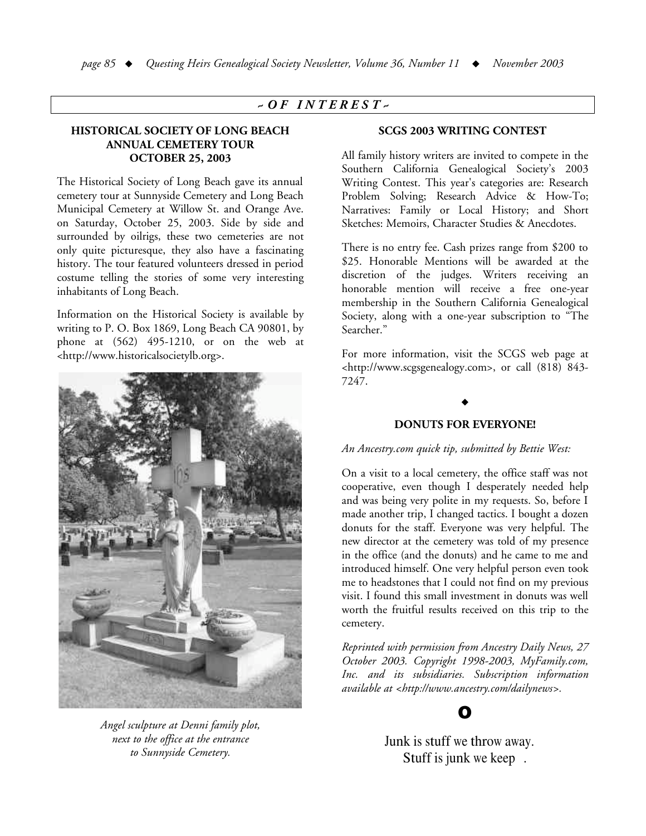## *~ O F I N T E R E S T ~*

### **HISTORICAL SOCIETY OF LONG BEACH ANNUAL CEMETERY TOUR OCTOBER 25, 2003**

The Historical Society of Long Beach gave its annual cemetery tour at Sunnyside Cemetery and Long Beach Municipal Cemetery at Willow St. and Orange Ave. on Saturday, October 25, 2003. Side by side and surrounded by oilrigs, these two cemeteries are not only quite picturesque, they also have a fascinating history. The tour featured volunteers dressed in period costume telling the stories of some very interesting inhabitants of Long Beach.

Information on the Historical Society is available by writing to P. O. Box 1869, Long Beach CA 90801, by phone at (562) 495-1210, or on the web at <http://www.historicalsocietylb.org>.



*Angel sculpture at Denni family plot, next to the office at the entrance to Sunnyside Cemetery.*

#### **SCGS 2003 WRITING CONTEST**

All family history writers are invited to compete in the Southern California Genealogical Society's 2003 Writing Contest. This year's categories are: Research Problem Solving; Research Advice & How-To; Narratives: Family or Local History; and Short Sketches: Memoirs, Character Studies & Anecdotes.

There is no entry fee. Cash prizes range from \$200 to \$25. Honorable Mentions will be awarded at the discretion of the judges. Writers receiving an honorable mention will receive a free one-year membership in the Southern California Genealogical Society, along with a one-year subscription to "The Searcher."

For more information, visit the SCGS web page at <http://www.scgsgenealogy.com>, or call (818) 843- 7247.

### **DONUTS FOR EVERYONE!**

 $\blacklozenge$ 

*An Ancestry.com quick tip, submitted by Bettie West:*

On a visit to a local cemetery, the office staff was not cooperative, even though I desperately needed help and was being very polite in my requests. So, before I made another trip, I changed tactics. I bought a dozen donuts for the staff. Everyone was very helpful. The new director at the cemetery was told of my presence in the office (and the donuts) and he came to me and introduced himself. One very helpful person even took me to headstones that I could not find on my previous visit. I found this small investment in donuts was well worth the fruitful results received on this trip to the cemetery.

*Reprinted with permission from Ancestry Daily News, 27 October 2003. Copyright 1998-2003, MyFamily.com, Inc. and its subsidiaries. Subscription information available at <http://www.ancestry.com/dailynews>.*



Junk is stuff we throw away. Stuff is junk we keep .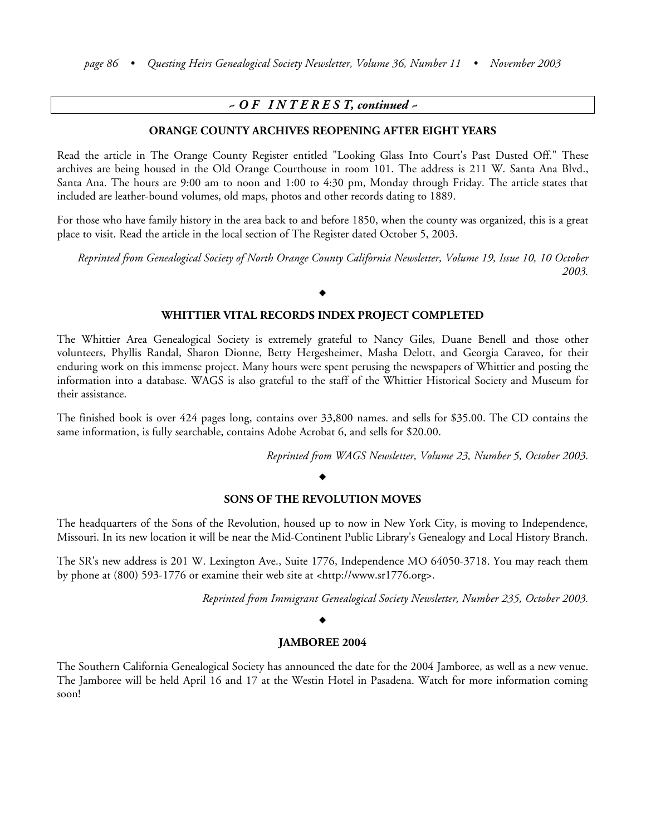# *~ O F I N T E R E S T, continued ~*

#### **ORANGE COUNTY ARCHIVES REOPENING AFTER EIGHT YEARS**

Read the article in The Orange County Register entitled "Looking Glass Into Court's Past Dusted Off." These archives are being housed in the Old Orange Courthouse in room 101. The address is 211 W. Santa Ana Blvd., Santa Ana. The hours are 9:00 am to noon and 1:00 to 4:30 pm, Monday through Friday. The article states that included are leather-bound volumes, old maps, photos and other records dating to 1889.

For those who have family history in the area back to and before 1850, when the county was organized, this is a great place to visit. Read the article in the local section of The Register dated October 5, 2003.

Reprinted from Genealogical Society of North Orange County California Newsletter, Volume 19, Issue 10, 10 October *2003.*

#### $\blacklozenge$

#### **WHITTIER VITAL RECORDS INDEX PROJECT COMPLETED**

The Whittier Area Genealogical Society is extremely grateful to Nancy Giles, Duane Benell and those other volunteers, Phyllis Randal, Sharon Dionne, Betty Hergesheimer, Masha Delott, and Georgia Caraveo, for their enduring work on this immense project. Many hours were spent perusing the newspapers of Whittier and posting the information into a database. WAGS is also grateful to the staff of the Whittier Historical Society and Museum for their assistance.

The finished book is over 424 pages long, contains over 33,800 names. and sells for \$35.00. The CD contains the same information, is fully searchable, contains Adobe Acrobat 6, and sells for \$20.00.

*Reprinted from WAGS Newsletter, Volume 23, Number 5, October 2003.*

#### $\blacklozenge$

### **SONS OF THE REVOLUTION MOVES**

The headquarters of the Sons of the Revolution, housed up to now in New York City, is moving to Independence, Missouri. In its new location it will be near the Mid-Continent Public Library's Genealogy and Local History Branch.

The SR's new address is 201 W. Lexington Ave., Suite 1776, Independence MO 64050-3718. You may reach them by phone at (800) 593-1776 or examine their web site at <http://www.sr1776.org>.

*Reprinted from Immigrant Genealogical Society Newsletter, Number 235, October 2003.*

#### $\blacklozenge$

#### **JAMBOREE 2004**

The Southern California Genealogical Society has announced the date for the 2004 Jamboree, as well as a new venue. The Jamboree will be held April 16 and 17 at the Westin Hotel in Pasadena. Watch for more information coming soon!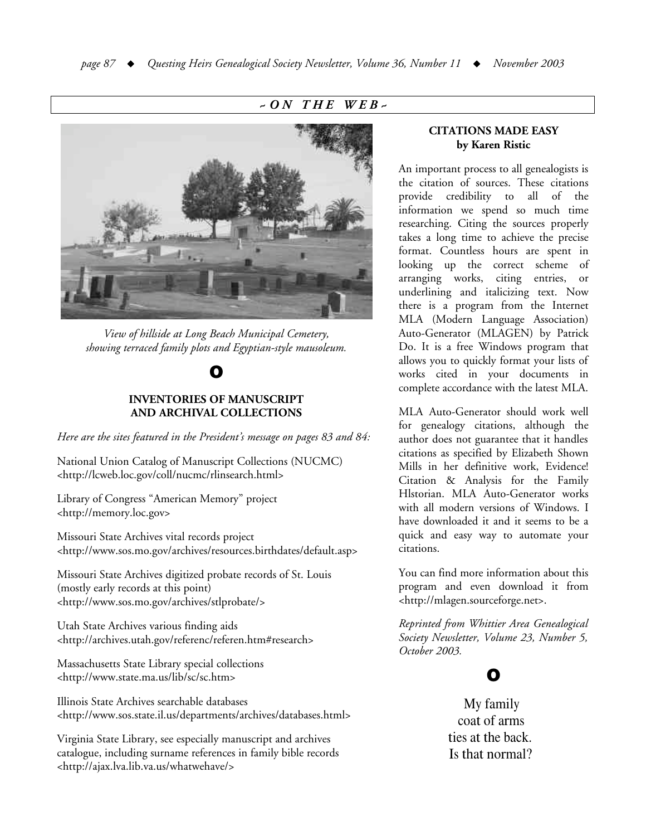# *~ O N T H E W E B ~*



*View of hillside at Long Beach Municipal Cemetery, showing terraced family plots and Egyptian-style mausoleum.*

# O

### **INVENTORIES OF MANUSCRIPT AND ARCHIVAL COLLECTIONS**

*Here are the sites featured in the President's message on pages 83 and 84:*

National Union Catalog of Manuscript Collections (NUCMC) <http://lcweb.loc.gov/coll/nucmc/rlinsearch.html>

Library of Congress "American Memory" project <http://memory.loc.gov>

Missouri State Archives vital records project <http://www.sos.mo.gov/archives/resources.birthdates/default.asp>

Missouri State Archives digitized probate records of St. Louis (mostly early records at this point) <http://www.sos.mo.gov/archives/stlprobate/>

Utah State Archives various finding aids <http://archives.utah.gov/referenc/referen.htm#research>

Massachusetts State Library special collections <http://www.state.ma.us/lib/sc/sc.htm>

Illinois State Archives searchable databases <http://www.sos.state.il.us/departments/archives/databases.html>

Virginia State Library, see especially manuscript and archives catalogue, including surname references in family bible records <http://ajax.lva.lib.va.us/whatwehave/>

### **CITATIONS MADE EASY by Karen Ristic**

An important process to all genealogists is the citation of sources. These citations provide credibility to all of the information we spend so much time researching. Citing the sources properly takes a long time to achieve the precise format. Countless hours are spent in looking up the correct scheme of arranging works, citing entries, or underlining and italicizing text. Now there is a program from the Internet MLA (Modern Language Association) Auto-Generator (MLAGEN) by Patrick Do. It is a free Windows program that allows you to quickly format your lists of works cited in your documents in complete accordance with the latest MLA.

MLA Auto-Generator should work well for genealogy citations, although the author does not guarantee that it handles citations as specified by Elizabeth Shown Mills in her definitive work, Evidence! Citation & Analysis for the Family Hlstorian. MLA Auto-Generator works with all modern versions of Windows. I have downloaded it and it seems to be a quick and easy way to automate your citations.

You can find more information about this program and even download it from <http://mlagen.sourceforge.net>.

*Reprinted from Whittier Area Genealogical Society Newsletter, Volume 23, Number 5, October 2003.*

# O

My family coat of arms ties at the back. Is that normal?